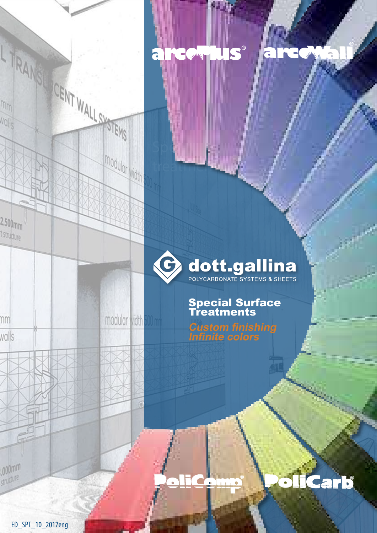

Sp**ecific** 

modular<sub> Midth</sub>

modular width 500 mm

treatments

 $3942$ 

# Special Surface **Treatments**

S®

**Custom finishing Infinite colors**

4.

arb

ED\_SPT\_10\_2017eng

TRANS CENT WALL OF TEMS

 $2.500<sub>mm</sub>$ t structure

nm

walls

,000mm structure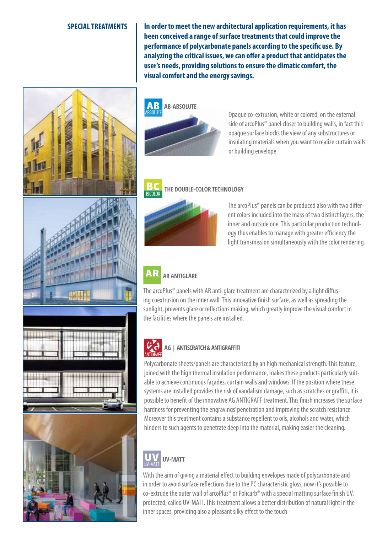## **SPECIAL TREATMENTS**

**In order to meet the new architectural application requirements, it has been conceived a range of surface treatments that could improve the performance of polycarbonate panels according to the specific use. By analyzing the critical issues, we can offer a product that anticipates the user's needs, providing solutions to ensure the climatic comfort, the visual comfort and the energy savings.**





Opaque co-extrusion, white or colored, on the external side of arcoPlus® panel closer to building walls, in fact this opaque surface blocks the view of any substructures or insulating materials when you want to realize curtain walls or building envelope







## **THE DOUBLE-COLOR TECHNOLOGY**



The arcoPlus® panels can be produced also with two different colors included into the mass of two distinct layers, the inner and outside one. This particular production technology thus enables to manage with greater efficiency the light transmission simultaneously with the color rendering.

### **AR AR ANTIGLARE**

The arcoPlus® panels with AR anti-glare treatment are characterized by a light diffusing coextrusion on the inner wall. This innovative finish surface, as well as spreading the sunlight, prevents glare or reflections making, which greatly improve the visual comfort in the facilities where the panels are installed.



## **AG | ANTISCRATCH & ANTIGRAFFITi**

Polycarbonate sheets/panels are characterized by an high mechanical strength. This feature, joined with the high thermal insulation performance, makes these products particularly suitable to achieve continuous façades, curtain walls and windows. If the position where these systems are installed provides the risk of vandalism damage, such as scratches or graffiti, it is possible to benefit of the innovative AG ANTIGRAFF treatment. This finish increases the surface hardness for preventing the engravings' penetration and improving the scratch resistance. Moreover this treatment contains a substance repellent to oils, alcohols and water, which hinders to such agents to penetrate deep into the material, making easier the cleaning.



# **UV-MATT**

With the aim of giving a material effect to building envelopes made of polycarbonate and in order to avoid surface reflections due to the PC characteristic gloss, now it's possible to co-extrude the outer wall of arcoPlus® or Policarb® with a special matting surface finish UV. protected, called UV-MATT. This treatment allows a better distribution of natural light in the inner spaces, providing also a pleasant silky effect to the touch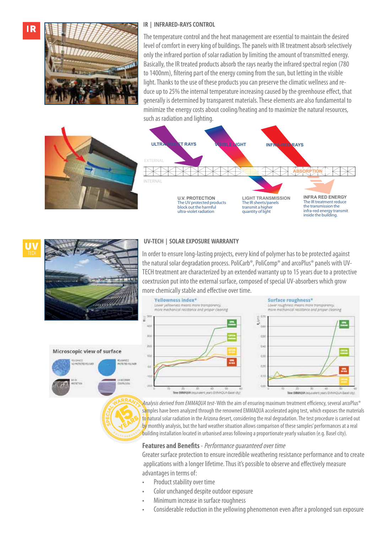IR



## **IR | Infrared-rays CONTROL**

The temperature control and the heat management are essential to maintain the desired level of comfort in every king of buildings. The panels with IR treatment absorb selectively only the infrared portion of solar radiation by limiting the amount of transmitted energy. Basically, the IR treated products absorb the rays nearby the infrared spectral region (780 to 1400nm), filtering part of the energy coming from the sun, but letting in the visible light. Thanks to the use of these products you can preserve the climatic wellness and reduce up to 25% the internal temperature increasing caused by the greenhouse effect, that generally is determined by transparent materials. These elements are also fundamental to minimize the energy costs about cooling/heating and to maximize the natural resources, such as radiation and lighting.



# a fillo

Microscopic view of surface

ANDONELLI<br>Intertone discipato

## **UV-TECH | solar exposure warranty**

In order to ensure long-lasting projects, every kind of polymer has to be protected against the natural solar degradation process. PoliCarb®, PoliComp® and arcoPlus® panels with UV-TECH treatment are characterized by an extended warranty up to 15 years due to a protective coextrusion put into the external surface, composed of special UV-absorbers which grow more chemically stable and effective over time.



Analysis derived from EMMAQUA test- With the aim of ensuring maximum treatment efficiency, several arcoPlus<sup>®</sup> samples have been analyzed through the renowned EMMAQUA accelerated aging test, which exposes the materials to natural solar radiation in the Arizona desert, considering the real degradation. The test procedure is carried out by monthly analysis, but the hard weather situation allows comparison of these samples' performances at a real building installation located in urbanised areas following a proportionate yearly valuation (e.g. Basel city).

## **Features and Benefits** - Performance guaranteed over time

Greater surface protection to ensure incredible weathering resistance performance and to create applications with a longer lifetime. Thus it's possible to observe and effectively measure advantages in terms of:

- Product stability over time
- Color unchanged despite outdoor exposure
- Minimum increase in surface roughness
- Considerable reduction in the yellowing phenomenon even after a prolonged sun exposure